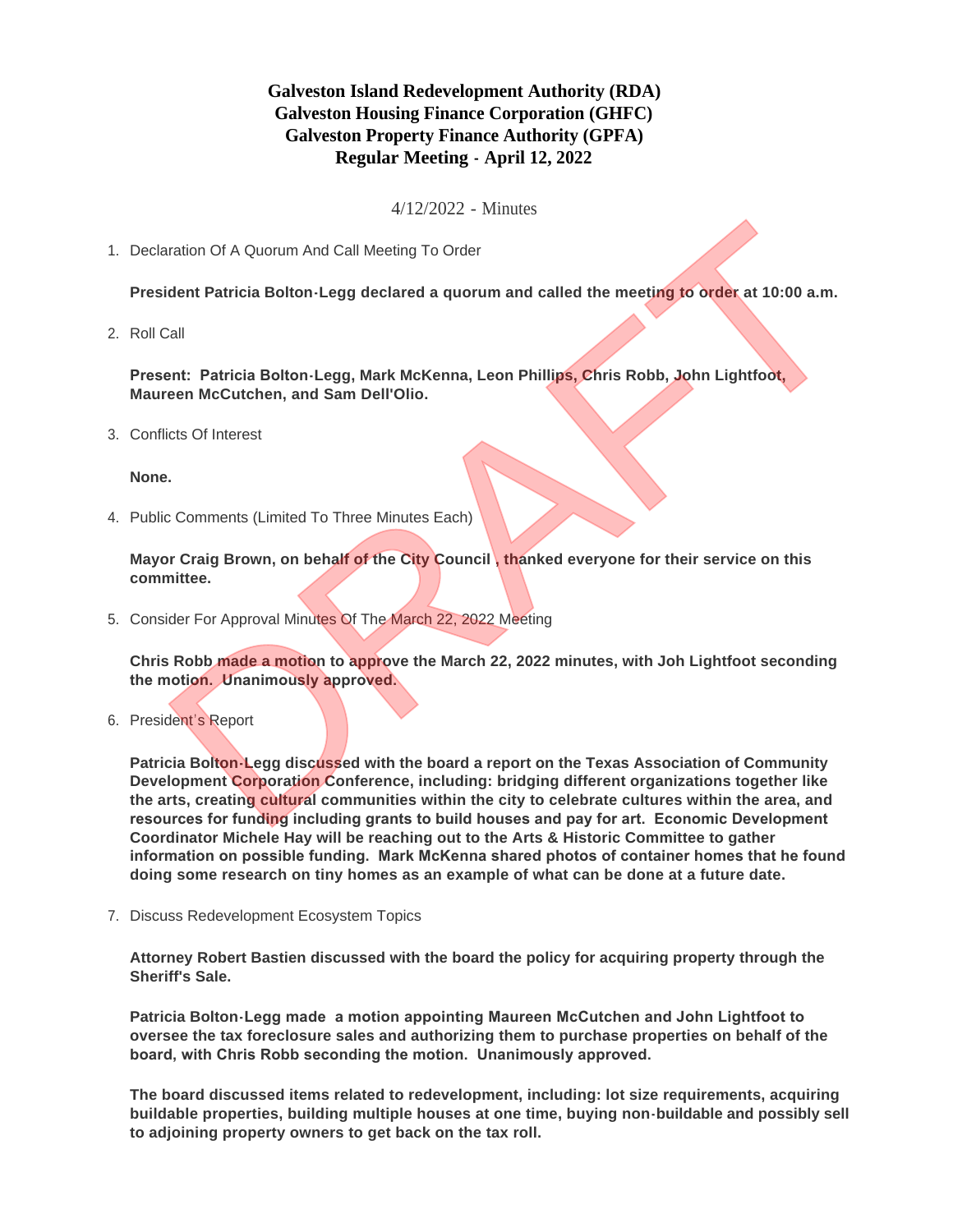## **Galveston Island Redevelopment Authority (RDA) Galveston Housing Finance Corporation (GHFC) Galveston Property Finance Authority (GPFA) Regular Meeting - April 12, 2022**

4/12/2022 - Minutes

1. Declaration Of A Quorum And Call Meeting To Order

**President Patricia Bolton-Legg declared a quorum and called the meeting to order at 10:00 a.m.**

2. Roll Call

**Present: Patricia Bolton-Legg, Mark McKenna, Leon Phillips, Chris Robb, John Lightfoot, Maureen McCutchen, and Sam Dell'Olio.**

Conflicts Of Interest 3.

**None.**

4. Public Comments (Limited To Three Minutes Each)

**Mayor Craig Brown, on behalf of the City Council , thanked everyone for their service on this committee.**

5. Consider For Approval Minutes Of The March 22, 2022 Meeting

**Chris Robb made a motion to approve the March 22, 2022 minutes, with Joh Lightfoot seconding the motion. Unanimously approved.**

6. President's Report

**Patricia Bolton-Legg discussed with the board a report on the Texas Association of Community Development Corporation Conference, including: bridging different organizations together like the arts, creating cultural communities within the city to celebrate cultures within the area, and resources for funding including grants to build houses and pay for art. Economic Development Coordinator Michele Hay will be reaching out to the Arts & Historic Committee to gather information on possible funding. Mark McKenna shared photos of container homes that he found doing some research on tiny homes as an example of what can be done at a future date.** The Control of A Quorum And Call Meeting To Order<br>
Coldent Patricia Bolton-Legg declared a quorum and called the meeting to order at 10:00 a.m.<br>
Call<br>
DRAFT PATRICIA Bolton-Legg, Mark McKenna, Leon Phillips, Chris Robb, Jo

7. Discuss Redevelopment Ecosystem Topics

**Attorney Robert Bastien discussed with the board the policy for acquiring property through the Sheriff's Sale.**

**Patricia Bolton-Legg made a motion appointing Maureen McCutchen and John Lightfoot to oversee the tax foreclosure sales and authorizing them to purchase properties on behalf of the board, with Chris Robb seconding the motion. Unanimously approved.**

**The board discussed items related to redevelopment, including: lot size requirements, acquiring buildable properties, building multiple houses at one time, buying non-buildable and possibly sell to adjoining property owners to get back on the tax roll.**